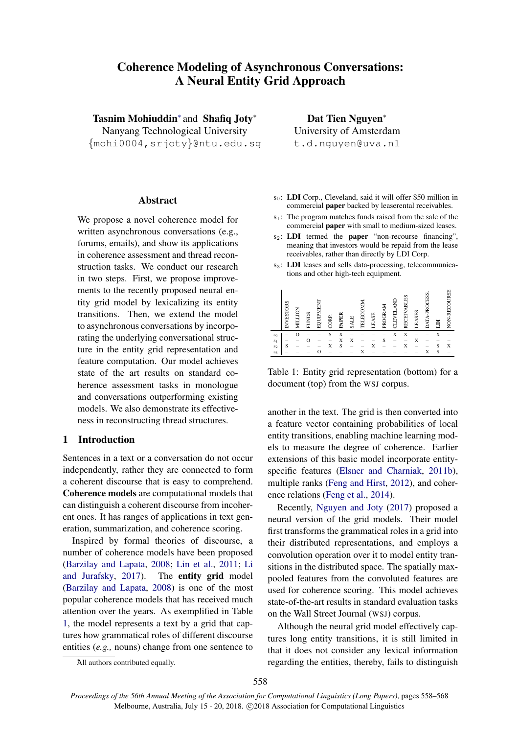# Coherence Modeling of Asynchronous Conversations: A Neural Entity Grid Approach

Tasnim Mohiuddin<sup>\*</sup> and Shafiq Joty<sup>\*</sup>

Nanyang Technological University {mohi0004,srjoty}@ntu.edu.sg

# Abstract

We propose a novel coherence model for written asynchronous conversations (e.g., forums, emails), and show its applications in coherence assessment and thread reconstruction tasks. We conduct our research in two steps. First, we propose improvements to the recently proposed neural entity grid model by lexicalizing its entity transitions. Then, we extend the model to asynchronous conversations by incorporating the underlying conversational structure in the entity grid representation and feature computation. Our model achieves state of the art results on standard coherence assessment tasks in monologue and conversations outperforming existing models. We also demonstrate its effectiveness in reconstructing thread structures.

# 1 Introduction

Sentences in a text or a conversation do not occur independently, rather they are connected to form a coherent discourse that is easy to comprehend. Coherence models are computational models that can distinguish a coherent discourse from incoherent ones. It has ranges of applications in text generation, summarization, and coherence scoring.

Inspired by formal theories of discourse, a number of coherence models have been proposed [\(Barzilay and Lapata,](#page-9-0) [2008;](#page-9-0) [Lin et al.,](#page-9-1) [2011;](#page-9-1) [Li](#page-9-2) [and Jurafsky,](#page-9-2) [2017\)](#page-9-2). The entity grid model [\(Barzilay and Lapata,](#page-9-0) [2008\)](#page-9-0) is one of the most popular coherence models that has received much attention over the years. As exemplified in Table [1,](#page-0-0) the model represents a text by a grid that captures how grammatical roles of different discourse entities (*e.g.,* nouns) change from one sentence to

Dat Tien Nguyen<sup>∗</sup> University of Amsterdam t.d.nguyen@uva.nl

- $s_0$ : **LDI** Corp., Cleveland, said it will offer \$50 million in commercial paper backed by leaserental receivables.
- s1: The program matches funds raised from the sale of the commercial paper with small to medium-sized leases.
- s<sub>2</sub>: **LDI** termed the **paper** "non-recourse financing", meaning that investors would be repaid from the lease receivables, rather than directly by LDI Corp.
- s<sub>3</sub>: LDI leases and sells data-processing, telecommunications and other high-tech equipment.

|                | VESTORS<br>⇁             | X<br>−<br>ĔМ | FUNDS | NAINOB | CORP. | PAPE | <b>SALE</b>              | á<br>ű<br><b>TEL</b> | ASE<br>щ | ΧN<br>PROGR | IN<br>A<br>CLEVEL | П,<br><b>RECEIVAB</b> | ASES<br>щ | È<br><b>DATA</b> | E | 5<br>NON-RE |
|----------------|--------------------------|--------------|-------|--------|-------|------|--------------------------|----------------------|----------|-------------|-------------------|-----------------------|-----------|------------------|---|-------------|
| S <sub>0</sub> |                          |              |       |        | S     | X    |                          |                      |          |             | X                 | X                     |           |                  | X |             |
| S <sub>1</sub> | $\overline{\phantom{a}}$ |              |       |        |       | X    | X                        |                      |          | S           |                   |                       | X         |                  |   |             |
| $s_2$          | S                        |              |       |        | X     | S    | $\overline{\phantom{a}}$ |                      |          |             |                   |                       |           |                  | S | X           |
| $s_3$          |                          |              |       |        |       | -    |                          |                      |          |             |                   |                       |           | X                | S | -           |

<span id="page-0-0"></span>Table 1: Entity grid representation (bottom) for a document (top) from the WSJ corpus.

another in the text. The grid is then converted into a feature vector containing probabilities of local entity transitions, enabling machine learning models to measure the degree of coherence. Earlier extensions of this basic model incorporate entityspecific features [\(Elsner and Charniak,](#page-9-3) [2011b\)](#page-9-3), multiple ranks [\(Feng and Hirst,](#page-9-4) [2012\)](#page-9-4), and coherence relations [\(Feng et al.,](#page-9-5) [2014\)](#page-9-5).

Recently, [Nguyen and Joty](#page-10-0) [\(2017\)](#page-10-0) proposed a neural version of the grid models. Their model first transforms the grammatical roles in a grid into their distributed representations, and employs a convolution operation over it to model entity transitions in the distributed space. The spatially maxpooled features from the convoluted features are used for coherence scoring. This model achieves state-of-the-art results in standard evaluation tasks on the Wall Street Journal (WSJ) corpus.

Although the neural grid model effectively captures long entity transitions, it is still limited in that it does not consider any lexical information regarding the entities, thereby, fails to distinguish

<sup>∗</sup>All authors contributed equally.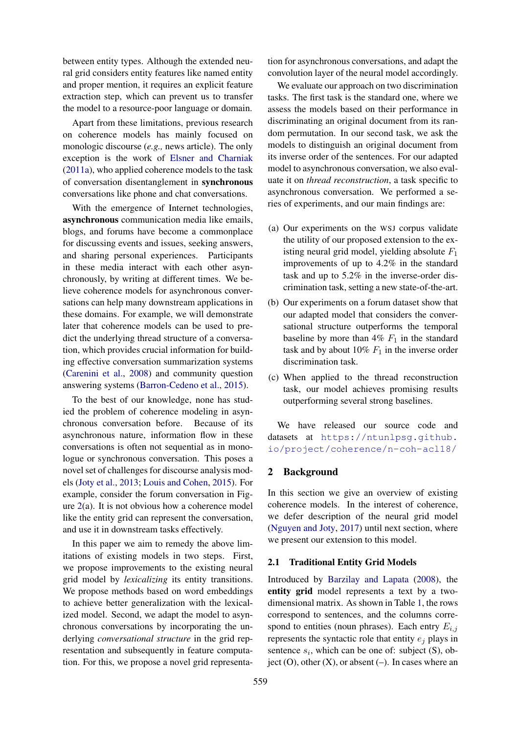between entity types. Although the extended neural grid considers entity features like named entity and proper mention, it requires an explicit feature extraction step, which can prevent us to transfer the model to a resource-poor language or domain.

Apart from these limitations, previous research on coherence models has mainly focused on monologic discourse (*e.g.,* news article). The only exception is the work of [Elsner and Charniak](#page-9-6) [\(2011a\)](#page-9-6), who applied coherence models to the task of conversation disentanglement in synchronous conversations like phone and chat conversations.

With the emergence of Internet technologies, asynchronous communication media like emails, blogs, and forums have become a commonplace for discussing events and issues, seeking answers, and sharing personal experiences. Participants in these media interact with each other asynchronously, by writing at different times. We believe coherence models for asynchronous conversations can help many downstream applications in these domains. For example, we will demonstrate later that coherence models can be used to predict the underlying thread structure of a conversation, which provides crucial information for building effective conversation summarization systems [\(Carenini et al.,](#page-9-7) [2008\)](#page-9-7) and community question answering systems [\(Barron-Cedeno et al.,](#page-9-8) [2015\)](#page-9-8).

To the best of our knowledge, none has studied the problem of coherence modeling in asynchronous conversation before. Because of its asynchronous nature, information flow in these conversations is often not sequential as in monologue or synchronous conversation. This poses a novel set of challenges for discourse analysis models [\(Joty et al.,](#page-9-9) [2013;](#page-9-9) [Louis and Cohen,](#page-9-10) [2015\)](#page-9-10). For example, consider the forum conversation in Figure  $2(a)$  $2(a)$ . It is not obvious how a coherence model like the entity grid can represent the conversation, and use it in downstream tasks effectively.

In this paper we aim to remedy the above limitations of existing models in two steps. First, we propose improvements to the existing neural grid model by *lexicalizing* its entity transitions. We propose methods based on word embeddings to achieve better generalization with the lexicalized model. Second, we adapt the model to asynchronous conversations by incorporating the underlying *conversational structure* in the grid representation and subsequently in feature computation. For this, we propose a novel grid representation for asynchronous conversations, and adapt the convolution layer of the neural model accordingly.

We evaluate our approach on two discrimination tasks. The first task is the standard one, where we assess the models based on their performance in discriminating an original document from its random permutation. In our second task, we ask the models to distinguish an original document from its inverse order of the sentences. For our adapted model to asynchronous conversation, we also evaluate it on *thread reconstruction*, a task specific to asynchronous conversation. We performed a series of experiments, and our main findings are:

- (a) Our experiments on the WSJ corpus validate the utility of our proposed extension to the existing neural grid model, yielding absolute  $F_1$ improvements of up to 4.2% in the standard task and up to 5.2% in the inverse-order discrimination task, setting a new state-of-the-art.
- (b) Our experiments on a forum dataset show that our adapted model that considers the conversational structure outperforms the temporal baseline by more than  $4\%$   $F_1$  in the standard task and by about 10%  $F_1$  in the inverse order discrimination task.
- (c) When applied to the thread reconstruction task, our model achieves promising results outperforming several strong baselines.

We have released our source code and datasets at [https://ntunlpsg.github.](https://ntunlpsg.github.io/project/coherence/n-coh-acl18/) [io/project/coherence/n-coh-acl18/](https://ntunlpsg.github.io/project/coherence/n-coh-acl18/)

# 2 Background

In this section we give an overview of existing coherence models. In the interest of coherence, we defer description of the neural grid model [\(Nguyen and Joty,](#page-10-0) [2017\)](#page-10-0) until next section, where we present our extension to this model.

### 2.1 Traditional Entity Grid Models

Introduced by [Barzilay and Lapata](#page-9-0) [\(2008\)](#page-9-0), the entity grid model represents a text by a twodimensional matrix. As shown in Table [1,](#page-0-0) the rows correspond to sentences, and the columns correspond to entities (noun phrases). Each entry  $E_{i,j}$ represents the syntactic role that entity  $e_i$  plays in sentence  $s_i$ , which can be one of: subject (S), object  $(0)$ , other  $(X)$ , or absent  $(-)$ . In cases where an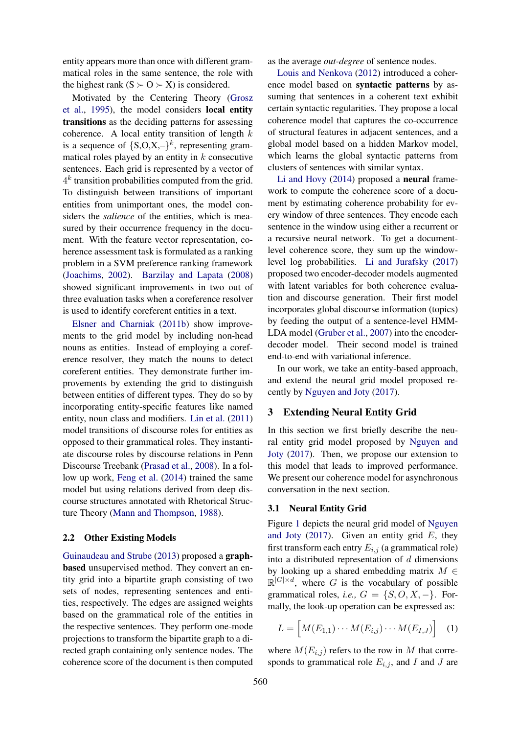entity appears more than once with different grammatical roles in the same sentence, the role with the highest rank  $(S \succ O \succ X)$  is considered.

Motivated by the Centering Theory [\(Grosz](#page-9-11) [et al.,](#page-9-11) [1995\)](#page-9-11), the model considers local entity transitions as the deciding patterns for assessing coherence. A local entity transition of length  $k$ is a sequence of  ${S, O, X, -}^k$ , representing grammatical roles played by an entity in  $k$  consecutive sentences. Each grid is represented by a vector of  $4^k$  transition probabilities computed from the grid. To distinguish between transitions of important entities from unimportant ones, the model considers the *salience* of the entities, which is measured by their occurrence frequency in the document. With the feature vector representation, coherence assessment task is formulated as a ranking problem in a SVM preference ranking framework [\(Joachims,](#page-9-12) [2002\)](#page-9-12). [Barzilay and Lapata](#page-9-0) [\(2008\)](#page-9-0) showed significant improvements in two out of three evaluation tasks when a coreference resolver is used to identify coreferent entities in a text.

[Elsner and Charniak](#page-9-3) [\(2011b\)](#page-9-3) show improvements to the grid model by including non-head nouns as entities. Instead of employing a coreference resolver, they match the nouns to detect coreferent entities. They demonstrate further improvements by extending the grid to distinguish between entities of different types. They do so by incorporating entity-specific features like named entity, noun class and modifiers. [Lin et al.](#page-9-1) [\(2011\)](#page-9-1) model transitions of discourse roles for entities as opposed to their grammatical roles. They instantiate discourse roles by discourse relations in Penn Discourse Treebank [\(Prasad et al.,](#page-10-1) [2008\)](#page-10-1). In a follow up work, [Feng et al.](#page-9-5) [\(2014\)](#page-9-5) trained the same model but using relations derived from deep discourse structures annotated with Rhetorical Structure Theory [\(Mann and Thompson,](#page-10-2) [1988\)](#page-10-2).

# 2.2 Other Existing Models

[Guinaudeau and Strube](#page-9-13) [\(2013\)](#page-9-13) proposed a graphbased unsupervised method. They convert an entity grid into a bipartite graph consisting of two sets of nodes, representing sentences and entities, respectively. The edges are assigned weights based on the grammatical role of the entities in the respective sentences. They perform one-mode projections to transform the bipartite graph to a directed graph containing only sentence nodes. The coherence score of the document is then computed

as the average *out-degree* of sentence nodes.

[Louis and Nenkova](#page-9-14) [\(2012\)](#page-9-14) introduced a coherence model based on syntactic patterns by assuming that sentences in a coherent text exhibit certain syntactic regularities. They propose a local coherence model that captures the co-occurrence of structural features in adjacent sentences, and a global model based on a hidden Markov model, which learns the global syntactic patterns from clusters of sentences with similar syntax.

[Li and Hovy](#page-9-15) [\(2014\)](#page-9-15) proposed a neural framework to compute the coherence score of a document by estimating coherence probability for every window of three sentences. They encode each sentence in the window using either a recurrent or a recursive neural network. To get a documentlevel coherence score, they sum up the windowlevel log probabilities. [Li and Jurafsky](#page-9-2) [\(2017\)](#page-9-2) proposed two encoder-decoder models augmented with latent variables for both coherence evaluation and discourse generation. Their first model incorporates global discourse information (topics) by feeding the output of a sentence-level HMM-LDA model [\(Gruber et al.,](#page-9-16) [2007\)](#page-9-16) into the encoderdecoder model. Their second model is trained end-to-end with variational inference.

In our work, we take an entity-based approach, and extend the neural grid model proposed recently by [Nguyen and Joty](#page-10-0) [\(2017\)](#page-10-0).

# 3 Extending Neural Entity Grid

In this section we first briefly describe the neural entity grid model proposed by [Nguyen and](#page-10-0) [Joty](#page-10-0) [\(2017\)](#page-10-0). Then, we propose our extension to this model that leads to improved performance. We present our coherence model for asynchronous conversation in the next section.

# 3.1 Neural Entity Grid

Figure [1](#page-3-0) depicts the neural grid model of [Nguyen](#page-10-0) [and Joty](#page-10-0) [\(2017\)](#page-10-0). Given an entity grid  $E$ , they first transform each entry  $E_{i,j}$  (a grammatical role) into a distributed representation of  $d$  dimensions by looking up a shared embedding matrix  $M \in$  $\mathbb{R}^{|G| \times d}$ , where G is the vocabulary of possible grammatical roles, *i.e.*,  $G = \{S, O, X, -\}$ . Formally, the look-up operation can be expressed as:

<span id="page-2-0"></span>
$$
L = \left[ M(E_{1,1}) \cdots M(E_{i,j}) \cdots M(E_{I,J}) \right] \quad (1)
$$

where  $M(E_{i,j})$  refers to the row in M that corresponds to grammatical role  $E_{i,j}$ , and I and J are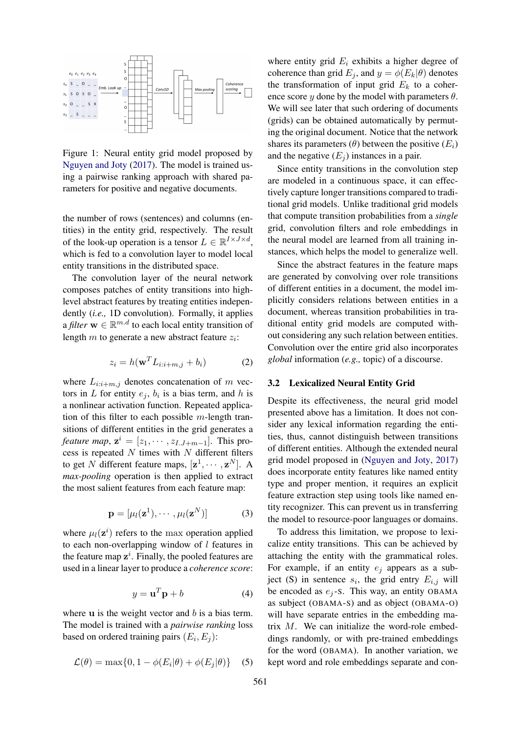

<span id="page-3-0"></span>Figure 1: Neural entity grid model proposed by [Nguyen and Joty](#page-10-0) [\(2017\)](#page-10-0). The model is trained using a pairwise ranking approach with shared parameters for positive and negative documents.

the number of rows (sentences) and columns (entities) in the entity grid, respectively. The result of the look-up operation is a tensor  $L \in \mathbb{R}^{I \times J \times d}$ , which is fed to a convolution layer to model local entity transitions in the distributed space.

The convolution layer of the neural network composes patches of entity transitions into highlevel abstract features by treating entities independently (*i.e.,* 1D convolution). Formally, it applies a *filter*  $\mathbf{w} \in \mathbb{R}^{m.d}$  to each local entity transition of length  $m$  to generate a new abstract feature  $z_i$ :

$$
z_i = h(\mathbf{w}^T L_{i:i+m,j} + b_i)
$$
 (2)

where  $L_{i:i+m,j}$  denotes concatenation of m vectors in L for entity  $e_j$ ,  $b_i$  is a bias term, and h is a nonlinear activation function. Repeated application of this filter to each possible  $m$ -length transitions of different entities in the grid generates a *feature map*,  $\mathbf{z}^i = [z_1, \cdots, z_{I,J+m-1}]$ . This process is repeated  $N$  times with  $N$  different filters to get N different feature maps,  $[\mathbf{z}^1, \cdots, \mathbf{z}^N]$ . A *max-pooling* operation is then applied to extract the most salient features from each feature map:

$$
\mathbf{p} = [\mu_l(\mathbf{z}^1), \cdots, \mu_l(\mathbf{z}^N)] \tag{3}
$$

where  $\mu_l(z^i)$  refers to the max operation applied to each non-overlapping window of  $l$  features in the feature map  $z^i$ . Finally, the pooled features are used in a linear layer to produce a *coherence score*:

$$
y = \mathbf{u}^T \mathbf{p} + b \tag{4}
$$

<span id="page-3-2"></span><span id="page-3-1"></span>where  $\bf{u}$  is the weight vector and  $\bf{b}$  is a bias term. The model is trained with a *pairwise ranking* loss based on ordered training pairs  $(E_i, E_j)$ :

$$
\mathcal{L}(\theta) = \max\{0, 1 - \phi(E_i|\theta) + \phi(E_j|\theta)\}\quad (5)
$$

where entity grid  $E_i$  exhibits a higher degree of coherence than grid  $E_i$ , and  $y = \phi(E_k|\theta)$  denotes the transformation of input grid  $E_k$  to a coherence score y done by the model with parameters  $\theta$ . We will see later that such ordering of documents (grids) can be obtained automatically by permuting the original document. Notice that the network shares its parameters  $(\theta)$  between the positive  $(E_i)$ and the negative  $(E_i)$  instances in a pair.

Since entity transitions in the convolution step are modeled in a continuous space, it can effectively capture longer transitions compared to traditional grid models. Unlike traditional grid models that compute transition probabilities from a *single* grid, convolution filters and role embeddings in the neural model are learned from all training instances, which helps the model to generalize well.

Since the abstract features in the feature maps are generated by convolving over role transitions of different entities in a document, the model implicitly considers relations between entities in a document, whereas transition probabilities in traditional entity grid models are computed without considering any such relation between entities. Convolution over the entire grid also incorporates *global* information (*e.g.,* topic) of a discourse.

### 3.2 Lexicalized Neural Entity Grid

Despite its effectiveness, the neural grid model presented above has a limitation. It does not consider any lexical information regarding the entities, thus, cannot distinguish between transitions of different entities. Although the extended neural grid model proposed in [\(Nguyen and Joty,](#page-10-0) [2017\)](#page-10-0) does incorporate entity features like named entity type and proper mention, it requires an explicit feature extraction step using tools like named entity recognizer. This can prevent us in transferring the model to resource-poor languages or domains.

To address this limitation, we propose to lexicalize entity transitions. This can be achieved by attaching the entity with the grammatical roles. For example, if an entity  $e_i$  appears as a subject (S) in sentence  $s_i$ , the grid entry  $E_{i,j}$  will be encoded as  $e_i$ -S. This way, an entity OBAMA as subject (OBAMA-S) and as object (OBAMA-O) will have separate entries in the embedding matrix M. We can initialize the word-role embeddings randomly, or with pre-trained embeddings for the word (OBAMA). In another variation, we kept word and role embeddings separate and con-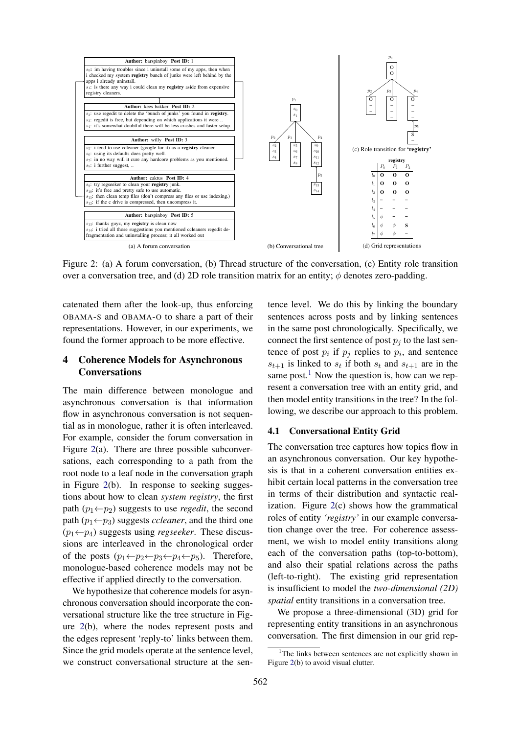

<span id="page-4-0"></span>Figure 2: (a) A forum conversation, (b) Thread structure of the conversation, (c) Entity role transition over a conversation tree, and (d) 2D role transition matrix for an entity;  $\phi$  denotes zero-padding.

catenated them after the look-up, thus enforcing OBAMA-S and OBAMA-O to share a part of their representations. However, in our experiments, we found the former approach to be more effective.

# 4 Coherence Models for Asynchronous **Conversations**

The main difference between monologue and asynchronous conversation is that information flow in asynchronous conversation is not sequential as in monologue, rather it is often interleaved. For example, consider the forum conversation in Figure [2\(](#page-4-0)a). There are three possible subconversations, each corresponding to a path from the root node to a leaf node in the conversation graph in Figure [2\(](#page-4-0)b). In response to seeking suggestions about how to clean *system registry*, the first path  $(p_1 \leftarrow p_2)$  suggests to use *regedit*, the second path  $(p_1 \leftarrow p_3)$  suggests *ccleaner*, and the third one  $(p_1 \leftarrow p_4)$  suggests using *regseeker*. These discussions are interleaved in the chronological order of the posts  $(p_1 \leftarrow p_2 \leftarrow p_3 \leftarrow p_4 \leftarrow p_5)$ . Therefore, monologue-based coherence models may not be effective if applied directly to the conversation.

We hypothesize that coherence models for asynchronous conversation should incorporate the conversational structure like the tree structure in Figure [2\(](#page-4-0)b), where the nodes represent posts and the edges represent 'reply-to' links between them. Since the grid models operate at the sentence level, we construct conversational structure at the sentence level. We do this by linking the boundary sentences across posts and by linking sentences in the same post chronologically. Specifically, we connect the first sentence of post  $p_i$  to the last sentence of post  $p_i$  if  $p_j$  replies to  $p_i$ , and sentence  $s_{t+1}$  is linked to  $s_t$  if both  $s_t$  and  $s_{t+1}$  are in the same post.<sup>[1](#page-4-1)</sup> Now the question is, how can we represent a conversation tree with an entity grid, and then model entity transitions in the tree? In the following, we describe our approach to this problem.

# 4.1 Conversational Entity Grid

The conversation tree captures how topics flow in an asynchronous conversation. Our key hypothesis is that in a coherent conversation entities exhibit certain local patterns in the conversation tree in terms of their distribution and syntactic realization. Figure  $2(c)$  $2(c)$  shows how the grammatical roles of entity *'registry'* in our example conversation change over the tree. For coherence assessment, we wish to model entity transitions along each of the conversation paths (top-to-bottom), and also their spatial relations across the paths (left-to-right). The existing grid representation is insufficient to model the *two-dimensional (2D) spatial* entity transitions in a conversation tree.

We propose a three-dimensional (3D) grid for representing entity transitions in an asynchronous conversation. The first dimension in our grid rep-

<span id="page-4-1"></span><sup>&</sup>lt;sup>1</sup>The links between sentences are not explicitly shown in Figure [2\(](#page-4-0)b) to avoid visual clutter.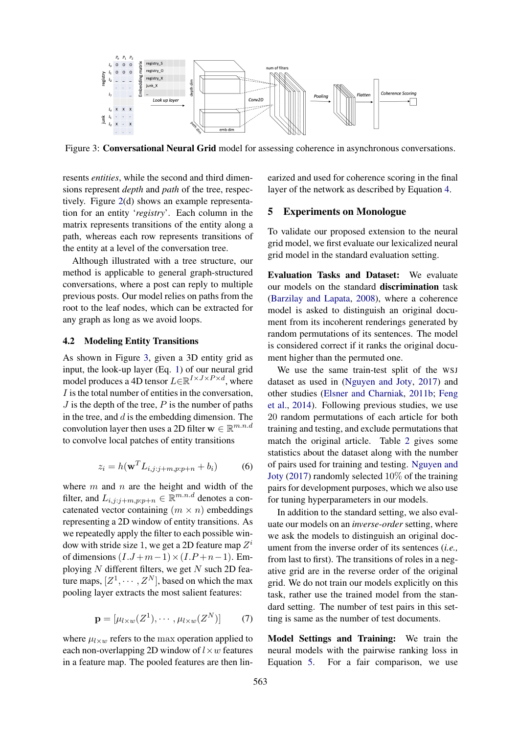

<span id="page-5-0"></span>Figure 3: Conversational Neural Grid model for assessing coherence in asynchronous conversations.

resents *entities*, while the second and third dimensions represent *depth* and *path* of the tree, respectively. Figure [2\(](#page-4-0)d) shows an example representation for an entity '*registry*'. Each column in the matrix represents transitions of the entity along a path, whereas each row represents transitions of the entity at a level of the conversation tree.

Although illustrated with a tree structure, our method is applicable to general graph-structured conversations, where a post can reply to multiple previous posts. Our model relies on paths from the root to the leaf nodes, which can be extracted for any graph as long as we avoid loops.

# 4.2 Modeling Entity Transitions

As shown in Figure [3,](#page-5-0) given a 3D entity grid as input, the look-up layer (Eq. [1\)](#page-2-0) of our neural grid model produces a 4D tensor  $L \in \mathbb{R}^{I \times J \times P \times d}$ , where I is the total number of entities in the conversation,  $J$  is the depth of the tree,  $P$  is the number of paths in the tree, and  $d$  is the embedding dimension. The convolution layer then uses a 2D filter  $\mathbf{w} \in \mathbb{R}^{m.n.d}$ to convolve local patches of entity transitions

$$
z_i = h(\mathbf{w}^T L_{i,j:j+m,p:p+n} + b_i)
$$
 (6)

where  $m$  and  $n$  are the height and width of the filter, and  $L_{i,j:j+m,p:p+n} \in \mathbb{R}^{m.n.d}$  denotes a concatenated vector containing  $(m \times n)$  embeddings representing a 2D window of entity transitions. As we repeatedly apply the filter to each possible window with stride size 1, we get a 2D feature map  $Z^i$ of dimensions  $(I.J+m-1)\times(I.P+n-1)$ . Employing  $N$  different filters, we get  $N$  such 2D feature maps,  $[Z^1, \dots, Z^N]$ , based on which the max pooling layer extracts the most salient features:

$$
\mathbf{p} = [\mu_{l \times w}(Z^1), \cdots, \mu_{l \times w}(Z^N)] \tag{7}
$$

where  $\mu_{l \times w}$  refers to the max operation applied to each non-overlapping 2D window of  $l \times w$  features in a feature map. The pooled features are then linearized and used for coherence scoring in the final layer of the network as described by Equation [4.](#page-3-1)

# 5 Experiments on Monologue

To validate our proposed extension to the neural grid model, we first evaluate our lexicalized neural grid model in the standard evaluation setting.

Evaluation Tasks and Dataset: We evaluate our models on the standard discrimination task [\(Barzilay and Lapata,](#page-9-0) [2008\)](#page-9-0), where a coherence model is asked to distinguish an original document from its incoherent renderings generated by random permutations of its sentences. The model is considered correct if it ranks the original document higher than the permuted one.

We use the same train-test split of the WSJ dataset as used in [\(Nguyen and Joty,](#page-10-0) [2017\)](#page-10-0) and other studies [\(Elsner and Charniak,](#page-9-3) [2011b;](#page-9-3) [Feng](#page-9-5) [et al.,](#page-9-5) [2014\)](#page-9-5). Following previous studies, we use 20 random permutations of each article for both training and testing, and exclude permutations that match the original article. Table [2](#page-6-0) gives some statistics about the dataset along with the number of pairs used for training and testing. [Nguyen and](#page-10-0) [Joty](#page-10-0) [\(2017\)](#page-10-0) randomly selected 10% of the training pairs for development purposes, which we also use for tuning hyperparameters in our models.

In addition to the standard setting, we also evaluate our models on an *inverse-order* setting, where we ask the models to distinguish an original document from the inverse order of its sentences (*i.e.,* from last to first). The transitions of roles in a negative grid are in the reverse order of the original grid. We do not train our models explicitly on this task, rather use the trained model from the standard setting. The number of test pairs in this setting is same as the number of test documents.

Model Settings and Training: We train the neural models with the pairwise ranking loss in Equation [5.](#page-3-2) For a fair comparison, we use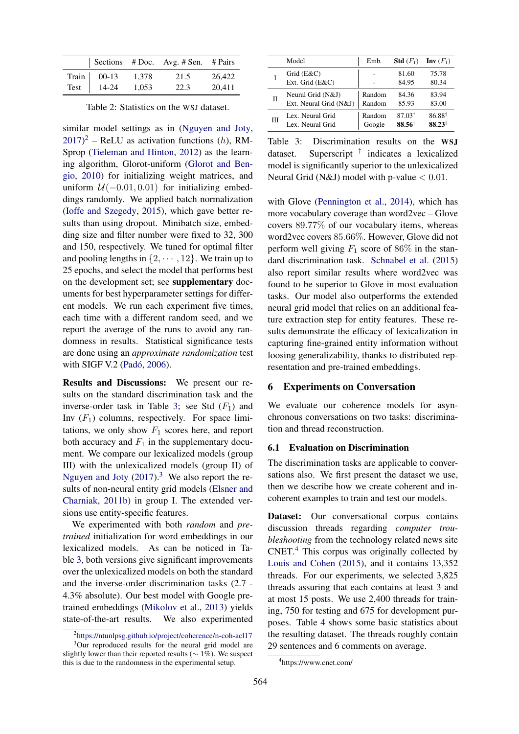|      |                     |       | Sections # Doc. Avg. # Sen. # Pairs |        |
|------|---------------------|-------|-------------------------------------|--------|
|      | Train $\vert$ 00-13 | 1,378 | 21.5                                | 26.422 |
| Test | 14-24               | 1.053 | 22.3                                | 20.411 |

<span id="page-6-0"></span>Table 2: Statistics on the WSJ dataset.

similar model settings as in [\(Nguyen and Joty,](#page-10-0)  $(2017)^2$  $(2017)^2$  $(2017)^2$  $(2017)^2$  – ReLU as activation functions (h), RM-Sprop [\(Tieleman and Hinton,](#page-10-3) [2012\)](#page-10-3) as the learning algorithm, Glorot-uniform [\(Glorot and Ben](#page-9-17)[gio,](#page-9-17) [2010\)](#page-9-17) for initializing weight matrices, and uniform  $U(-0.01, 0.01)$  for initializing embeddings randomly. We applied batch normalization [\(Ioffe and Szegedy,](#page-9-18) [2015\)](#page-9-18), which gave better results than using dropout. Minibatch size, embedding size and filter number were fixed to 32, 300 and 150, respectively. We tuned for optimal filter and pooling lengths in  $\{2, \dots, 12\}$ . We train up to 25 epochs, and select the model that performs best on the development set; see supplementary documents for best hyperparameter settings for different models. We run each experiment five times, each time with a different random seed, and we report the average of the runs to avoid any randomness in results. Statistical significance tests are done using an *approximate randomization* test with SIGF V.2 (Padó, [2006\)](#page-10-4).

Results and Discussions: We present our results on the standard discrimination task and the inverse-order task in Table [3;](#page-6-2) see Std  $(F_1)$  and Inv  $(F_1)$  columns, respectively. For space limitations, we only show  $F_1$  scores here, and report both accuracy and  $F_1$  in the supplementary document. We compare our lexicalized models (group III) with the unlexicalized models (group II) of [Nguyen and Joty](#page-10-0)  $(2017).<sup>3</sup>$  $(2017).<sup>3</sup>$  $(2017).<sup>3</sup>$  $(2017).<sup>3</sup>$  We also report the results of non-neural entity grid models [\(Elsner and](#page-9-3) [Charniak,](#page-9-3) [2011b\)](#page-9-3) in group I. The extended versions use entity-specific features.

We experimented with both *random* and *pretrained* initialization for word embeddings in our lexicalized models. As can be noticed in Table [3,](#page-6-2) both versions give significant improvements over the unlexicalized models on both the standard and the inverse-order discrimination tasks (2.7 - 4.3% absolute). Our best model with Google pretrained embeddings [\(Mikolov et al.,](#page-10-5) [2013\)](#page-10-5) yields state-of-the-art results. We also experimented

|              | Model                           | Emb.   | <b>Std</b> $(F_1)$ | $\mathbf{Inv}\left(F_1\right)$ |
|--------------|---------------------------------|--------|--------------------|--------------------------------|
|              | Grid $(E&C)$<br>Ext. Grid (E&C) |        | 81.60<br>84.95     | 75.78<br>80.34                 |
| $\mathbf{I}$ | Neural Grid (N&J)               | Random | 84.36              | 83.94                          |
|              | Ext. Neural Grid (N&J)          | Random | 85.93              | 83.00                          |
| Ш            | Lex. Neural Grid                | Random | $87.03^{\dagger}$  | $86.88^{\dagger}$              |
|              | Lex. Neural Grid                | Google | $88.56^{\dagger}$  | $88.23^{\dagger}$              |

<span id="page-6-2"></span>Table 3: Discrimination results on the WSJ dataset. Superscript † indicates a lexicalized model is significantly superior to the unlexicalized Neural Grid (N&J) model with p-value  $< 0.01$ .

with Glove [\(Pennington et al.,](#page-10-6) [2014\)](#page-10-6), which has more vocabulary coverage than word2vec – Glove covers 89.77% of our vocabulary items, whereas word2vec covers 85.66%. However, Glove did not perform well giving  $F_1$  score of 86% in the standard discrimination task. [Schnabel et al.](#page-10-7) [\(2015\)](#page-10-7) also report similar results where word2vec was found to be superior to Glove in most evaluation tasks. Our model also outperforms the extended neural grid model that relies on an additional feature extraction step for entity features. These results demonstrate the efficacy of lexicalization in capturing fine-grained entity information without loosing generalizability, thanks to distributed representation and pre-trained embeddings.

# 6 Experiments on Conversation

We evaluate our coherence models for asynchronous conversations on two tasks: discrimination and thread reconstruction.

# 6.1 Evaluation on Discrimination

The discrimination tasks are applicable to conversations also. We first present the dataset we use, then we describe how we create coherent and incoherent examples to train and test our models.

Dataset: Our conversational corpus contains discussion threads regarding *computer troubleshooting* from the technology related news site  $CNET<sup>4</sup>$  $CNET<sup>4</sup>$  $CNET<sup>4</sup>$ . This corpus was originally collected by [Louis and Cohen](#page-9-10) [\(2015\)](#page-9-10), and it contains 13,352 threads. For our experiments, we selected 3,825 threads assuring that each contains at least 3 and at most 15 posts. We use 2,400 threads for training, 750 for testing and 675 for development purposes. Table [4](#page-7-0) shows some basic statistics about the resulting dataset. The threads roughly contain 29 sentences and 6 comments on average.

<span id="page-6-3"></span><span id="page-6-1"></span><sup>2</sup> [https://ntunlpsg.github.io/project/coherence/n-coh-acl17](https://ntunlpsg.github.io/project/coherence/n-coh-acl17/) <sup>3</sup>Our reproduced results for the neural grid model are slightly lower than their reported results ( $\sim 1\%$ ). We suspect this is due to the randomness in the experimental setup.

<span id="page-6-4"></span><sup>4</sup> https://www.cnet.com/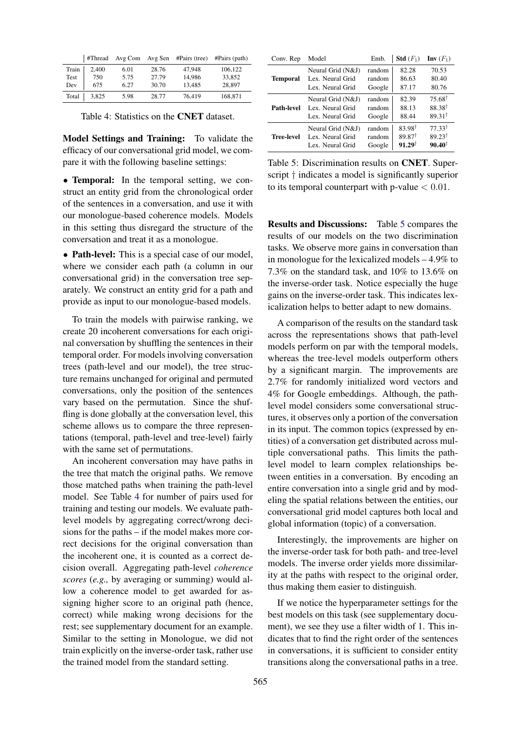|       | #Thread | Avg Com |       | Avg Sen #Pairs (tree) | $\#Pairs$ (path) |
|-------|---------|---------|-------|-----------------------|------------------|
| Train | 2,400   | 6.01    | 28.76 | 47,948                | 106,122          |
| Test  | 750     | 5.75    | 27.79 | 14.986                | 33,852           |
| Dev   | 675     | 6.27    | 30.70 | 13.485                | 28,897           |
| Total | 3,825   | 5.98    | 28.77 | 76,419                | 168,871          |

<span id="page-7-0"></span>Table 4: Statistics on the CNET dataset.

Model Settings and Training: To validate the efficacy of our conversational grid model, we compare it with the following baseline settings:

• **Temporal:** In the temporal setting, we construct an entity grid from the chronological order of the sentences in a conversation, and use it with our monologue-based coherence models. Models in this setting thus disregard the structure of the conversation and treat it as a monologue.

• Path-level: This is a special case of our model, where we consider each path (a column in our conversational grid) in the conversation tree separately. We construct an entity grid for a path and provide as input to our monologue-based models.

To train the models with pairwise ranking, we create 20 incoherent conversations for each original conversation by shuffling the sentences in their temporal order. For models involving conversation trees (path-level and our model), the tree structure remains unchanged for original and permuted conversations, only the position of the sentences vary based on the permutation. Since the shuffling is done globally at the conversation level, this scheme allows us to compare the three representations (temporal, path-level and tree-level) fairly with the same set of permutations.

An incoherent conversation may have paths in the tree that match the original paths. We remove those matched paths when training the path-level model. See Table [4](#page-7-0) for number of pairs used for training and testing our models. We evaluate pathlevel models by aggregating correct/wrong decisions for the paths – if the model makes more correct decisions for the original conversation than the incoherent one, it is counted as a correct decision overall. Aggregating path-level *coherence scores* (*e.g.,* by averaging or summing) would allow a coherence model to get awarded for assigning higher score to an original path (hence, correct) while making wrong decisions for the rest; see supplementary document for an example. Similar to the setting in Monologue, we did not train explicitly on the inverse-order task, rather use the trained model from the standard setting.

| Conv. Rep         | Model             | Emb.   | <b>Std</b> $(F_1)$ | Inv $(F_1)$       |
|-------------------|-------------------|--------|--------------------|-------------------|
|                   | Neural Grid (N&J) | random | 82.28              | 70.53             |
| <b>Temporal</b>   | Lex. Neural Grid  | random | 86.63              | 80.40             |
|                   | Lex. Neural Grid  | Google | 87.17              | 80.76             |
|                   | Neural Grid (N&J) | random | 82.39              | $75.68^{\dagger}$ |
| Path-level        | Lex. Neural Grid  | random | 88.13              | $88.38^{\dagger}$ |
|                   | Lex. Neural Grid  | Google | 88.44              | $89.31^{\dagger}$ |
|                   | Neural Grid (N&J) | random | $83.98^{\dagger}$  | $77.33^{\dagger}$ |
| <b>Tree-level</b> | Lex. Neural Grid  | random | $89.87^{\dagger}$  | $89.23^{\dagger}$ |
|                   | Lex. Neural Grid  | Google | $91.29^{\dagger}$  | $90.40^{\dagger}$ |

<span id="page-7-1"></span>Table 5: Discrimination results on CNET. Superscript † indicates a model is significantly superior to its temporal counterpart with p-value  $< 0.01$ .

Results and Discussions: Table [5](#page-7-1) compares the results of our models on the two discrimination tasks. We observe more gains in conversation than in monologue for the lexicalized models – 4.9% to 7.3% on the standard task, and 10% to 13.6% on the inverse-order task. Notice especially the huge gains on the inverse-order task. This indicates lexicalization helps to better adapt to new domains.

A comparison of the results on the standard task across the representations shows that path-level models perform on par with the temporal models, whereas the tree-level models outperform others by a significant margin. The improvements are 2.7% for randomly initialized word vectors and 4% for Google embeddings. Although, the pathlevel model considers some conversational structures, it observes only a portion of the conversation in its input. The common topics (expressed by entities) of a conversation get distributed across multiple conversational paths. This limits the pathlevel model to learn complex relationships between entities in a conversation. By encoding an entire conversation into a single grid and by modeling the spatial relations between the entities, our conversational grid model captures both local and global information (topic) of a conversation.

Interestingly, the improvements are higher on the inverse-order task for both path- and tree-level models. The inverse order yields more dissimilarity at the paths with respect to the original order, thus making them easier to distinguish.

If we notice the hyperparameter settings for the best models on this task (see supplementary document), we see they use a filter width of 1. This indicates that to find the right order of the sentences in conversations, it is sufficient to consider entity transitions along the conversational paths in a tree.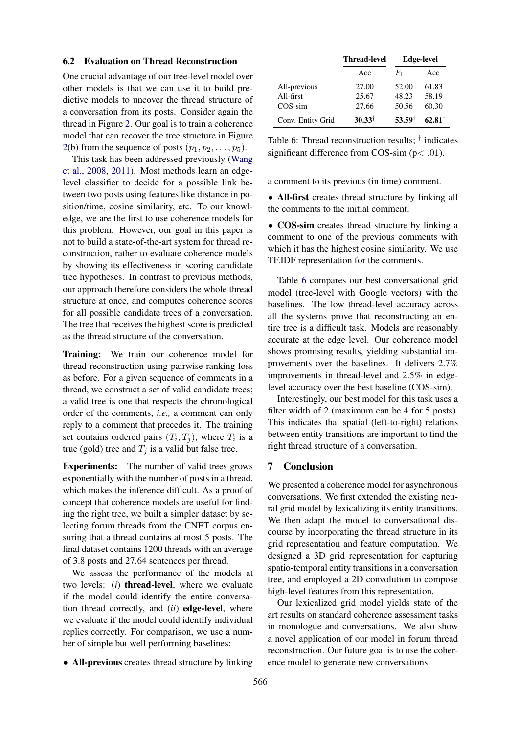### 6.2 Evaluation on Thread Reconstruction

One crucial advantage of our tree-level model over other models is that we can use it to build predictive models to uncover the thread structure of a conversation from its posts. Consider again the thread in Figure [2.](#page-4-0) Our goal is to train a coherence model that can recover the tree structure in Figure [2\(](#page-4-0)b) from the sequence of posts  $(p_1, p_2, \ldots, p_5)$ .

This task has been addressed previously [\(Wang](#page-10-8) [et al.,](#page-10-8) [2008,](#page-10-8) [2011\)](#page-10-9). Most methods learn an edgelevel classifier to decide for a possible link between two posts using features like distance in position/time, cosine similarity, etc. To our knowledge, we are the first to use coherence models for this problem. However, our goal in this paper is not to build a state-of-the-art system for thread reconstruction, rather to evaluate coherence models by showing its effectiveness in scoring candidate tree hypotheses. In contrast to previous methods, our approach therefore considers the whole thread structure at once, and computes coherence scores for all possible candidate trees of a conversation. The tree that receives the highest score is predicted as the thread structure of the conversation.

Training: We train our coherence model for thread reconstruction using pairwise ranking loss as before. For a given sequence of comments in a thread, we construct a set of valid candidate trees; a valid tree is one that respects the chronological order of the comments, *i.e.,* a comment can only reply to a comment that precedes it. The training set contains ordered pairs  $(T_i, T_j)$ , where  $T_i$  is a true (gold) tree and  $T_j$  is a valid but false tree.

Experiments: The number of valid trees grows exponentially with the number of posts in a thread, which makes the inference difficult. As a proof of concept that coherence models are useful for finding the right tree, we built a simpler dataset by selecting forum threads from the CNET corpus ensuring that a thread contains at most 5 posts. The final dataset contains 1200 threads with an average of 3.8 posts and 27.64 sentences per thread.

We assess the performance of the models at two levels: (*i*) thread-level, where we evaluate if the model could identify the entire conversation thread correctly, and (*ii*) edge-level, where we evaluate if the model could identify individual replies correctly. For comparison, we use a number of simple but well performing baselines:

• All-previous creates thread structure by linking

|                   | <b>Thread-level</b> | <b>Edge-level</b> |                   |  |
|-------------------|---------------------|-------------------|-------------------|--|
|                   | Acc                 | $F_1$             | Acc               |  |
| All-previous      | 27.00               | 52.00             | 61.83             |  |
| All-first         | 25.67               | 48.23             | 58.19             |  |
| $COS$ -sim        | 27.66               | 50.56             | 60.30             |  |
| Conv. Entity Grid | $30.33^{\dagger}$   | $53.59^{\dagger}$ | $62.81^{\dagger}$ |  |

<span id="page-8-0"></span>Table 6: Thread reconstruction results;  $\dagger$  indicates significant difference from COS-sim  $(p < .01)$ .

a comment to its previous (in time) comment.

• All-first creates thread structure by linking all the comments to the initial comment.

• COS-sim creates thread structure by linking a comment to one of the previous comments with which it has the highest cosine similarity. We use TF.IDF representation for the comments.

Table [6](#page-8-0) compares our best conversational grid model (tree-level with Google vectors) with the baselines. The low thread-level accuracy across all the systems prove that reconstructing an entire tree is a difficult task. Models are reasonably accurate at the edge level. Our coherence model shows promising results, yielding substantial improvements over the baselines. It delivers 2.7% improvements in thread-level and 2.5% in edgelevel accuracy over the best baseline (COS-sim).

Interestingly, our best model for this task uses a filter width of 2 (maximum can be 4 for 5 posts). This indicates that spatial (left-to-right) relations between entity transitions are important to find the right thread structure of a conversation.

### 7 Conclusion

We presented a coherence model for asynchronous conversations. We first extended the existing neural grid model by lexicalizing its entity transitions. We then adapt the model to conversational discourse by incorporating the thread structure in its grid representation and feature computation. We designed a 3D grid representation for capturing spatio-temporal entity transitions in a conversation tree, and employed a 2D convolution to compose high-level features from this representation.

Our lexicalized grid model yields state of the art results on standard coherence assessment tasks in monologue and conversations. We also show a novel application of our model in forum thread reconstruction. Our future goal is to use the coherence model to generate new conversations.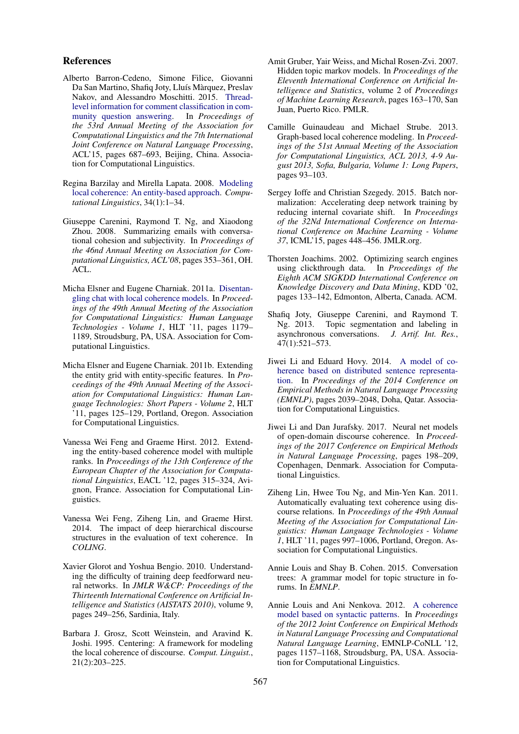# References

- <span id="page-9-8"></span>Alberto Barron-Cedeno, Simone Filice, Giovanni Da San Martino, Shafiq Joty, Lluís Màrquez, Preslav Nakov, and Alessandro Moschitti. 2015. [Thread](http://www.aclweb.org/anthology/P15-2113)[level information for comment classification in com](http://www.aclweb.org/anthology/P15-2113)[munity question answering.](http://www.aclweb.org/anthology/P15-2113) In *Proceedings of the 53rd Annual Meeting of the Association for Computational Linguistics and the 7th International Joint Conference on Natural Language Processing*, ACL'15, pages 687–693, Beijing, China. Association for Computational Linguistics.
- <span id="page-9-0"></span>Regina Barzilay and Mirella Lapata. 2008. [Modeling](http://www.aclweb.org/anthology/J08-1001) [local coherence: An entity-based approach.](http://www.aclweb.org/anthology/J08-1001) *Computational Linguistics*, 34(1):1–34.
- <span id="page-9-7"></span>Giuseppe Carenini, Raymond T. Ng, and Xiaodong Zhou. 2008. Summarizing emails with conversational cohesion and subjectivity. In *Proceedings of the 46nd Annual Meeting on Association for Computational Linguistics, ACL'08*, pages 353–361, OH. ACL.
- <span id="page-9-6"></span>Micha Elsner and Eugene Charniak. 2011a. [Disentan](http://dl.acm.org/citation.cfm?id=2002472.2002622)[gling chat with local coherence models.](http://dl.acm.org/citation.cfm?id=2002472.2002622) In *Proceedings of the 49th Annual Meeting of the Association for Computational Linguistics: Human Language Technologies - Volume 1*, HLT '11, pages 1179– 1189, Stroudsburg, PA, USA. Association for Computational Linguistics.
- <span id="page-9-3"></span>Micha Elsner and Eugene Charniak. 2011b. Extending the entity grid with entity-specific features. In *Proceedings of the 49th Annual Meeting of the Association for Computational Linguistics: Human Language Technologies: Short Papers - Volume 2*, HLT '11, pages 125–129, Portland, Oregon. Association for Computational Linguistics.
- <span id="page-9-4"></span>Vanessa Wei Feng and Graeme Hirst. 2012. Extending the entity-based coherence model with multiple ranks. In *Proceedings of the 13th Conference of the European Chapter of the Association for Computational Linguistics*, EACL '12, pages 315–324, Avignon, France. Association for Computational Linguistics.
- <span id="page-9-5"></span>Vanessa Wei Feng, Ziheng Lin, and Graeme Hirst. 2014. The impact of deep hierarchical discourse structures in the evaluation of text coherence. In *COLING*.
- <span id="page-9-17"></span>Xavier Glorot and Yoshua Bengio. 2010. Understanding the difficulty of training deep feedforward neural networks. In *JMLR W&CP: Proceedings of the Thirteenth International Conference on Artificial Intelligence and Statistics (AISTATS 2010)*, volume 9, pages 249–256, Sardinia, Italy.
- <span id="page-9-11"></span>Barbara J. Grosz, Scott Weinstein, and Aravind K. Joshi. 1995. Centering: A framework for modeling the local coherence of discourse. *Comput. Linguist.*, 21(2):203–225.
- <span id="page-9-16"></span>Amit Gruber, Yair Weiss, and Michal Rosen-Zvi. 2007. Hidden topic markov models. In *Proceedings of the Eleventh International Conference on Artificial Intelligence and Statistics*, volume 2 of *Proceedings of Machine Learning Research*, pages 163–170, San Juan, Puerto Rico. PMLR.
- <span id="page-9-13"></span>Camille Guinaudeau and Michael Strube. 2013. Graph-based local coherence modeling. In *Proceedings of the 51st Annual Meeting of the Association for Computational Linguistics, ACL 2013, 4-9 August 2013, Sofia, Bulgaria, Volume 1: Long Papers*, pages 93–103.
- <span id="page-9-18"></span>Sergey Ioffe and Christian Szegedy. 2015. Batch normalization: Accelerating deep network training by reducing internal covariate shift. In *Proceedings of the 32Nd International Conference on International Conference on Machine Learning - Volume 37*, ICML'15, pages 448–456. JMLR.org.
- <span id="page-9-12"></span>Thorsten Joachims. 2002. Optimizing search engines using clickthrough data. In *Proceedings of the Eighth ACM SIGKDD International Conference on Knowledge Discovery and Data Mining*, KDD '02, pages 133–142, Edmonton, Alberta, Canada. ACM.
- <span id="page-9-9"></span>Shafiq Joty, Giuseppe Carenini, and Raymond T. Ng. 2013. Topic segmentation and labeling in asynchronous conversations. *J. Artif. Int. Res.*, 47(1):521–573.
- <span id="page-9-15"></span>Jiwei Li and Eduard Hovy. 2014. [A model of co](http://www.aclweb.org/anthology/D14-1218)[herence based on distributed sentence representa](http://www.aclweb.org/anthology/D14-1218)[tion.](http://www.aclweb.org/anthology/D14-1218) In *Proceedings of the 2014 Conference on Empirical Methods in Natural Language Processing (EMNLP)*, pages 2039–2048, Doha, Qatar. Association for Computational Linguistics.
- <span id="page-9-2"></span>Jiwei Li and Dan Jurafsky. 2017. Neural net models of open-domain discourse coherence. In *Proceedings of the 2017 Conference on Empirical Methods in Natural Language Processing*, pages 198–209, Copenhagen, Denmark. Association for Computational Linguistics.
- <span id="page-9-1"></span>Ziheng Lin, Hwee Tou Ng, and Min-Yen Kan. 2011. Automatically evaluating text coherence using discourse relations. In *Proceedings of the 49th Annual Meeting of the Association for Computational Linguistics: Human Language Technologies - Volume 1*, HLT '11, pages 997–1006, Portland, Oregon. Association for Computational Linguistics.
- <span id="page-9-10"></span>Annie Louis and Shay B. Cohen. 2015. Conversation trees: A grammar model for topic structure in forums. In *EMNLP*.
- <span id="page-9-14"></span>Annie Louis and Ani Nenkova. 2012. [A coherence](http://dl.acm.org/citation.cfm?id=2390948.2391078) [model based on syntactic patterns.](http://dl.acm.org/citation.cfm?id=2390948.2391078) In *Proceedings of the 2012 Joint Conference on Empirical Methods in Natural Language Processing and Computational Natural Language Learning*, EMNLP-CoNLL '12, pages 1157–1168, Stroudsburg, PA, USA. Association for Computational Linguistics.